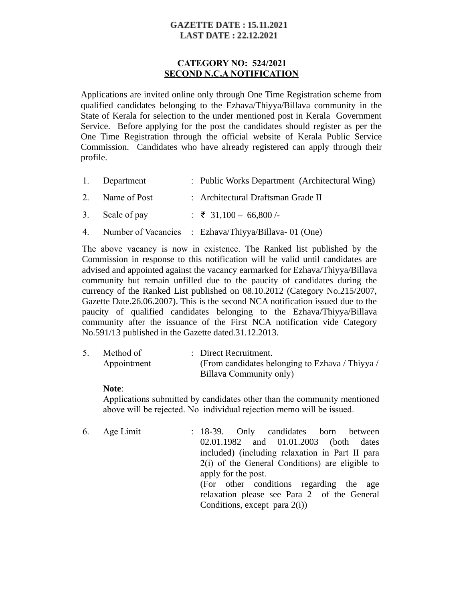# **GAZETTE DATE: 15.11.2021 LAST DATE: 22.12.2021**

# **CATEGORY NO: 524/2021 SECOND N.C.A NOTIFICATION**

Applications are invited online only through One Time Registration scheme from qualified candidates belonging to the Ezhava/Thiyya/Billava community in the State of Kerala for selection to the under mentioned post in Kerala Government Service. Before applying for the post the candidates should register as per the One Time Registration through the official website of Kerala Public Service Commission. Candidates who have already registered can apply through their profile.

| 1. Department   | : Public Works Department (Architectural Wing)          |
|-----------------|---------------------------------------------------------|
| 2. Name of Post | : Architectural Draftsman Grade II                      |
| 3. Scale of pay | : ₹ 31,100 - 66,800 /-                                  |
|                 | 4. Number of Vacancies : Ezhava/Thiyya/Billava-01 (One) |

The above vacancy is now in existence. The Ranked list published by the Commission in response to this notification will be valid until candidates are advised and appointed against the vacancy earmarked for Ezhava/Thiyya/Billava community but remain unfilled due to the paucity of candidates during the currency of the Ranked List published on 08.10.2012 (Category No.215/2007, Gazette Date.26.06.2007). This is the second NCA notification issued due to the paucity of qualified candidates belonging to the Ezhava/Thiyya/Billava community after the issuance of the First NCA notification vide Category No.591/13 published in the Gazette dated.31.12.2013.

| Method of   | : Direct Recruitment.                           |
|-------------|-------------------------------------------------|
| Appointment | (From candidates belonging to Ezhava / Thiyya / |
|             | Billava Community only)                         |

### **Note**:

Applications submitted by candidates other than the community mentioned above will be rejected. No individual rejection memo will be issued.

6. Age Limit : 18-39. Only candidates born between 02.01.1982 and 01.01.2003 (both dates included) (including relaxation in Part II para 2(i) of the General Conditions) are eligible to apply for the post. (For other conditions regarding the age relaxation please see Para 2 of the General Conditions, except para 2(i))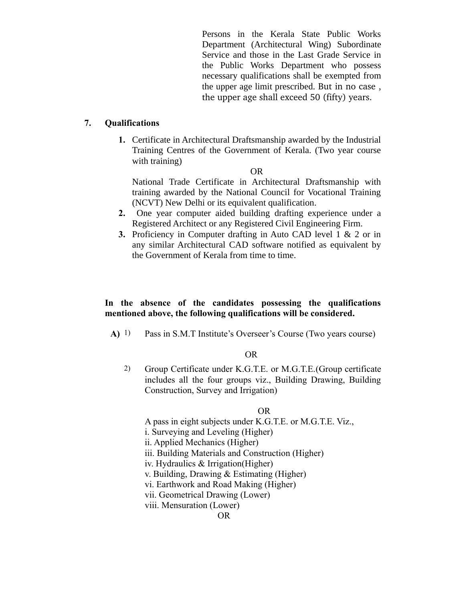Persons in the Kerala State Public Works Department (Architectural Wing) Subordinate Service and those in the Last Grade Service in the Public Works Department who possess necessary qualifications shall be exempted from the upper age limit prescribed. But in no case , the upper age shall exceed 50 (fifty) years.

### **7. Qualifications**

**1.** Certificate in Architectural Draftsmanship awarded by the Industrial Training Centres of the Government of Kerala. (Two year course with training)

OR

National Trade Certificate in Architectural Draftsmanship with training awarded by the National Council for Vocational Training (NCVT) New Delhi or its equivalent qualification.

- **2.** One year computer aided building drafting experience under a Registered Architect or any Registered Civil Engineering Firm.
- **3.** Proficiency in Computer drafting in Auto CAD level 1 & 2 or in any similar Architectural CAD software notified as equivalent by the Government of Kerala from time to time.

# **In the absence of the candidates possessing the qualifications mentioned above, the following qualifications will be considered.**

**A)** 1) Pass in S.M.T Institute's Overseer's Course (Two years course)

### OR

2) Group Certificate under K.G.T.E. or M.G.T.E.(Group certificate includes all the four groups viz., Building Drawing, Building Construction, Survey and Irrigation)

### OR

A pass in eight subjects under K.G.T.E. or M.G.T.E. Viz.,

i. Surveying and Leveling (Higher)

ii. Applied Mechanics (Higher)

iii. Building Materials and Construction (Higher)

iv. Hydraulics & Irrigation(Higher)

v. Building, Drawing & Estimating (Higher)

vi. Earthwork and Road Making (Higher)

vii. Geometrical Drawing (Lower)

viii. Mensuration (Lower)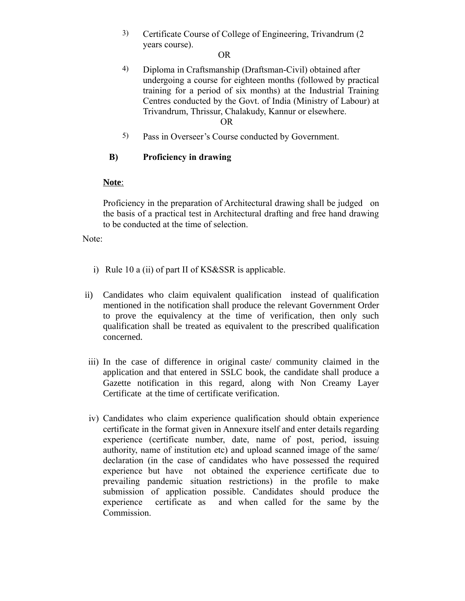3) Certificate Course of College of Engineering, Trivandrum (2 years course).

## OR

4) Diploma in Craftsmanship (Draftsman-Civil) obtained after undergoing a course for eighteen months (followed by practical training for a period of six months) at the Industrial Training Centres conducted by the Govt. of India (Ministry of Labour) at Trivandrum, Thrissur, Chalakudy, Kannur or elsewhere.

### OR

5) Pass in Overseer's Course conducted by Government.

# **B) Proficiency in drawing**

## **Note**:

Proficiency in the preparation of Architectural drawing shall be judged on the basis of a practical test in Architectural drafting and free hand drawing to be conducted at the time of selection.

Note:

- i) Rule 10 a (ii) of part II of KS&SSR is applicable.
- ii) Candidates who claim equivalent qualification instead of qualification mentioned in the notification shall produce the relevant Government Order to prove the equivalency at the time of verification, then only such qualification shall be treated as equivalent to the prescribed qualification concerned.
- iii) In the case of difference in original caste/ community claimed in the application and that entered in SSLC book, the candidate shall produce a Gazette notification in this regard, along with Non Creamy Layer Certificate at the time of certificate verification.
- iv) Candidates who claim experience qualification should obtain experience certificate in the format given in Annexure itself and enter details regarding experience (certificate number, date, name of post, period, issuing authority, name of institution etc) and upload scanned image of the same/ declaration (in the case of candidates who have possessed the required experience but have not obtained the experience certificate due to prevailing pandemic situation restrictions) in the profile to make submission of application possible. Candidates should produce the experience certificate as and when called for the same by the Commission.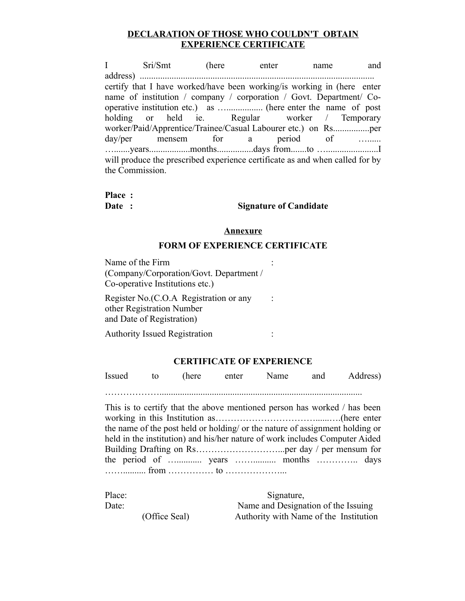## **DECLARATION OF THOSE WHO COULDN'T OBTAIN EXPERIENCE CERTIFICATE**

I Sri/Smt (here enter name and address) ....................................................................................................... certify that I have worked/have been working/is working in (here enter name of institution / company / corporation / Govt. Department/ Cooperative institution etc.) as …................ (here enter the name of post holding or held ie. Regular worker / Temporary worker/Paid/Apprentice/Trainee/Casual Labourer etc.) on Rs................per day/per mensem for a period of …...... ….......years..................months................days from.......to ….......................I will produce the prescribed experience certificate as and when called for by the Commission.

#### **Place : Date :**

**Signature of Candidate**

:

:

### **Annexure**

### **FORM OF EXPERIENCE CERTIFICATE**

Name of the Firm (Company/Corporation/Govt. Department / Co-operative Institutions etc.)

Register No.(C.O.A Registration or any other Registration Number and Date of Registration)

Authority Issued Registration :

### **CERTIFICATE OF EXPERIENCE**

| Issued |  | to (here enter Name and Address) |  |
|--------|--|----------------------------------|--|
|        |  |                                  |  |

This is to certify that the above mentioned person has worked / has been working in this Institution as……………………………......….(here enter the name of the post held or holding/ or the nature of assignment holding or held in the institution) and his/her nature of work includes Computer Aided Building Drafting on Rs………………………...per day / per mensum for the period of …........... years …….......... months ………….. days …….......... from …………… to ………………...

| Place: |               | Signature,                             |  |  |
|--------|---------------|----------------------------------------|--|--|
| Date:  |               | Name and Designation of the Issuing    |  |  |
|        | (Office Seal) | Authority with Name of the Institution |  |  |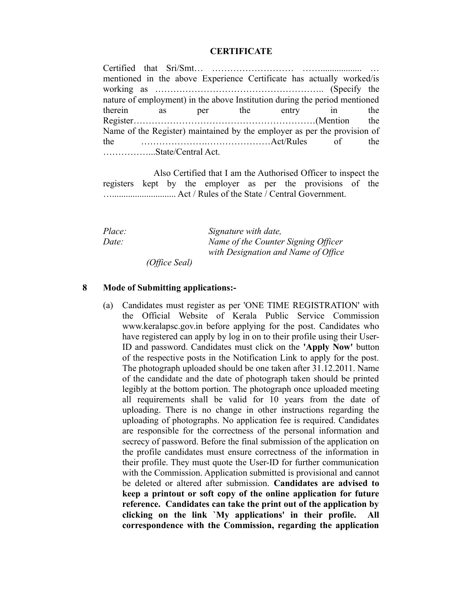### **CERTIFICATE**

Certified that Sri/Smt… ……………………… …….................. … mentioned in the above Experience Certificate has actually worked/is working as ……………………………………………….. (Specify the nature of employment) in the above Institution during the period mentioned therein as per the entry in the Register……………………………………………………(Mention the Name of the Register) maintained by the employer as per the provision of the ………………….…………………Act/Rules of the ……………...State/Central Act.

 Also Certified that I am the Authorised Officer to inspect the registers kept by the employer as per the provisions of the …............................ Act / Rules of the State / Central Government.

*Place: Date: Signature with date, Name of the Counter Signing Officer with Designation and Name of Office*

 *(Office Seal)*

### **8 Mode of Submitting applications:-**

(a) Candidates must register as per 'ONE TIME REGISTRATION' with the Official Website of Kerala Public Service Commission www.keralapsc.gov.in before applying for the post. Candidates who have registered can apply by log in on to their profile using their User-ID and password. Candidates must click on the **'Apply Now'** button of the respective posts in the Notification Link to apply for the post. The photograph uploaded should be one taken after 31.12.2011. Name of the candidate and the date of photograph taken should be printed legibly at the bottom portion. The photograph once uploaded meeting all requirements shall be valid for 10 years from the date of uploading. There is no change in other instructions regarding the uploading of photographs. No application fee is required. Candidates are responsible for the correctness of the personal information and secrecy of password. Before the final submission of the application on the profile candidates must ensure correctness of the information in their profile. They must quote the User-ID for further communication with the Commission. Application submitted is provisional and cannot be deleted or altered after submission. **Candidates are advised to keep a printout or soft copy of the online application for future reference. Candidates can take the print out of the application by clicking on the link `My applications' in their profile. All correspondence with the Commission, regarding the application**